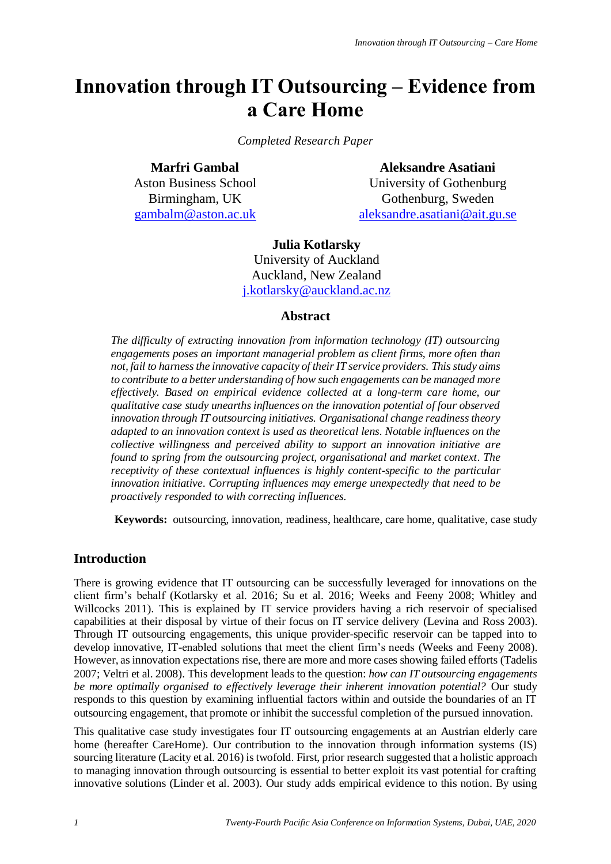# **Innovation through IT Outsourcing – Evidence from a Care Home**

*Completed Research Paper*

**Marfri Gambal** Aston Business School Birmingham, UK [gambalm@aston.ac.uk](mailto:gambalm@aston.ac.uk)

**Aleksandre Asatiani** University of Gothenburg Gothenburg, Sweden [aleksandre.asatiani@ait.gu.se](mailto:aleksandre.asatiani@ait.gu.se)

#### **Julia Kotlarsky**

University of Auckland Auckland, New Zealand [j.kotlarsky@auckland.ac.nz](mailto:j.kotlarsky@auckland.ac.nz)

#### **Abstract**

*The difficulty of extracting innovation from information technology (IT) outsourcing engagements poses an important managerial problem as client firms, more often than not, fail to harness the innovative capacity of their IT service providers. This study aims to contribute to a better understanding of how such engagements can be managed more effectively. Based on empirical evidence collected at a long-term care home, our qualitative case study unearths influences on the innovation potential of four observed innovation through IT outsourcing initiatives. Organisational change readiness theory adapted to an innovation context is used as theoretical lens. Notable influences on the collective willingness and perceived ability to support an innovation initiative are found to spring from the outsourcing project, organisational and market context. The receptivity of these contextual influences is highly content-specific to the particular innovation initiative. Corrupting influences may emerge unexpectedly that need to be proactively responded to with correcting influences.* 

**Keywords:** outsourcing, innovation, readiness, healthcare, care home, qualitative, case study

## **Introduction**

There is growing evidence that IT outsourcing can be successfully leveraged for innovations on the client firm's behalf (Kotlarsky et al. 2016; Su et al. 2016; Weeks and Feeny 2008; Whitley and Willcocks 2011). This is explained by IT service providers having a rich reservoir of specialised capabilities at their disposal by virtue of their focus on IT service delivery (Levina and Ross 2003). Through IT outsourcing engagements, this unique provider-specific reservoir can be tapped into to develop innovative, IT-enabled solutions that meet the client firm's needs (Weeks and Feeny 2008). However, as innovation expectations rise, there are more and more cases showing failed efforts (Tadelis 2007; Veltri et al. 2008). This development leads to the question: *how can IT outsourcing engagements be more optimally organised to effectively leverage their inherent innovation potential?* Our study responds to this question by examining influential factors within and outside the boundaries of an IT outsourcing engagement, that promote or inhibit the successful completion of the pursued innovation.

This qualitative case study investigates four IT outsourcing engagements at an Austrian elderly care home (hereafter CareHome). Our contribution to the innovation through information systems (IS) sourcing literature (Lacity et al. 2016) is twofold. First, prior research suggested that a holistic approach to managing innovation through outsourcing is essential to better exploit its vast potential for crafting innovative solutions (Linder et al. 2003). Our study adds empirical evidence to this notion. By using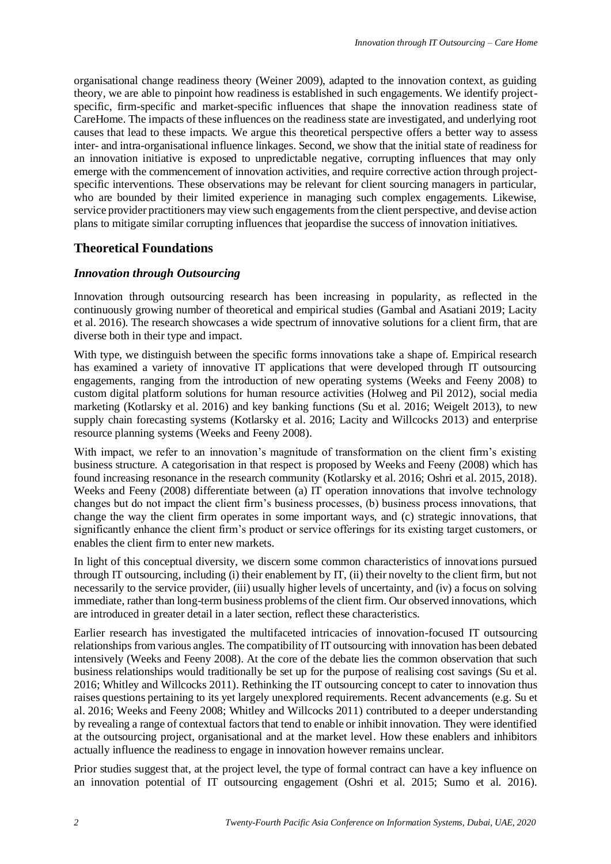organisational change readiness theory (Weiner 2009), adapted to the innovation context, as guiding theory, we are able to pinpoint how readiness is established in such engagements. We identify projectspecific, firm-specific and market-specific influences that shape the innovation readiness state of CareHome. The impacts of these influences on the readiness state are investigated, and underlying root causes that lead to these impacts. We argue this theoretical perspective offers a better way to assess inter- and intra-organisational influence linkages. Second, we show that the initial state of readiness for an innovation initiative is exposed to unpredictable negative, corrupting influences that may only emerge with the commencement of innovation activities, and require corrective action through projectspecific interventions. These observations may be relevant for client sourcing managers in particular, who are bounded by their limited experience in managing such complex engagements. Likewise, service provider practitioners may view such engagements from the client perspective, and devise action plans to mitigate similar corrupting influences that jeopardise the success of innovation initiatives.

#### **Theoretical Foundations**

#### *Innovation through Outsourcing*

Innovation through outsourcing research has been increasing in popularity, as reflected in the continuously growing number of theoretical and empirical studies (Gambal and Asatiani 2019; Lacity et al. 2016). The research showcases a wide spectrum of innovative solutions for a client firm, that are diverse both in their type and impact.

With type, we distinguish between the specific forms innovations take a shape of. Empirical research has examined a variety of innovative IT applications that were developed through IT outsourcing engagements, ranging from the introduction of new operating systems (Weeks and Feeny 2008) to custom digital platform solutions for human resource activities (Holweg and Pil 2012), social media marketing (Kotlarsky et al. 2016) and key banking functions (Su et al. 2016; Weigelt 2013), to new supply chain forecasting systems (Kotlarsky et al. 2016; Lacity and Willcocks 2013) and enterprise resource planning systems (Weeks and Feeny 2008).

With impact, we refer to an innovation's magnitude of transformation on the client firm's existing business structure. A categorisation in that respect is proposed by Weeks and Feeny (2008) which has found increasing resonance in the research community (Kotlarsky et al. 2016; Oshri et al. 2015, 2018). Weeks and Feeny (2008) differentiate between (a) IT operation innovations that involve technology changes but do not impact the client firm's business processes, (b) business process innovations, that change the way the client firm operates in some important ways, and (c) strategic innovations, that significantly enhance the client firm's product or service offerings for its existing target customers, or enables the client firm to enter new markets.

In light of this conceptual diversity, we discern some common characteristics of innovations pursued through IT outsourcing, including (i) their enablement by IT, (ii) their novelty to the client firm, but not necessarily to the service provider, (iii) usually higher levels of uncertainty, and (iv) a focus on solving immediate, rather than long-term business problems of the client firm. Our observed innovations, which are introduced in greater detail in a later section, reflect these characteristics.

Earlier research has investigated the multifaceted intricacies of innovation-focused IT outsourcing relationships from various angles. The compatibility of IT outsourcing with innovation has been debated intensively (Weeks and Feeny 2008). At the core of the debate lies the common observation that such business relationships would traditionally be set up for the purpose of realising cost savings (Su et al. 2016; Whitley and Willcocks 2011). Rethinking the IT outsourcing concept to cater to innovation thus raises questions pertaining to its yet largely unexplored requirements. Recent advancements (e.g. Su et al. 2016; Weeks and Feeny 2008; Whitley and Willcocks 2011) contributed to a deeper understanding by revealing a range of contextual factors that tend to enable or inhibit innovation. They were identified at the outsourcing project, organisational and at the market level. How these enablers and inhibitors actually influence the readiness to engage in innovation however remains unclear.

Prior studies suggest that, at the project level, the type of formal contract can have a key influence on an innovation potential of IT outsourcing engagement (Oshri et al. 2015; Sumo et al. 2016).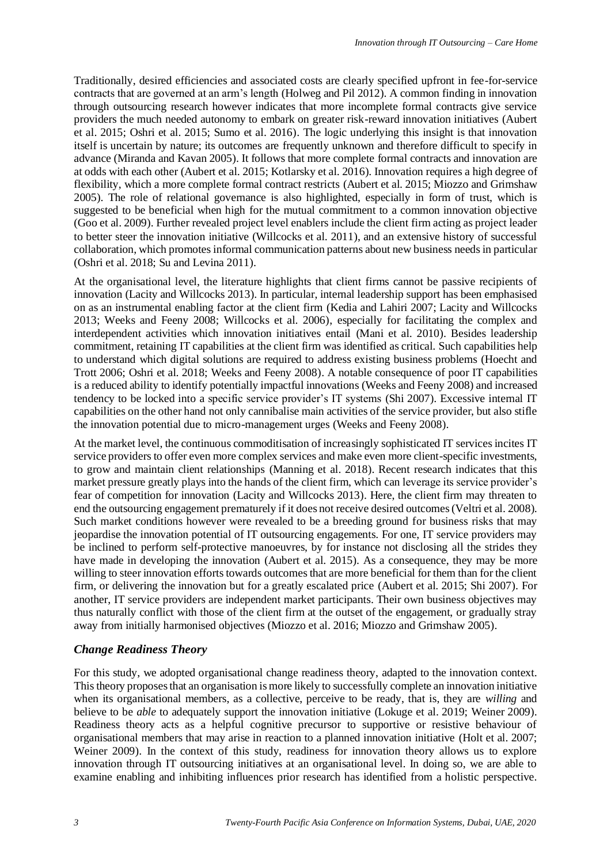Traditionally, desired efficiencies and associated costs are clearly specified upfront in fee-for-service contracts that are governed at an arm's length (Holweg and Pil 2012). A common finding in innovation through outsourcing research however indicates that more incomplete formal contracts give service providers the much needed autonomy to embark on greater risk-reward innovation initiatives (Aubert et al. 2015; Oshri et al. 2015; Sumo et al. 2016). The logic underlying this insight is that innovation itself is uncertain by nature; its outcomes are frequently unknown and therefore difficult to specify in advance (Miranda and Kavan 2005). It follows that more complete formal contracts and innovation are at odds with each other (Aubert et al. 2015; Kotlarsky et al. 2016). Innovation requires a high degree of flexibility, which a more complete formal contract restricts (Aubert et al. 2015; Miozzo and Grimshaw 2005). The role of relational governance is also highlighted, especially in form of trust, which is suggested to be beneficial when high for the mutual commitment to a common innovation objective (Goo et al. 2009). Further revealed project level enablers include the client firm acting as project leader to better steer the innovation initiative (Willcocks et al. 2011), and an extensive history of successful collaboration, which promotesinformal communication patterns about new business needs in particular (Oshri et al. 2018; Su and Levina 2011).

At the organisational level, the literature highlights that client firms cannot be passive recipients of innovation (Lacity and Willcocks 2013). In particular, internal leadership support has been emphasised on as an instrumental enabling factor at the client firm (Kedia and Lahiri 2007; Lacity and Willcocks 2013; Weeks and Feeny 2008; Willcocks et al. 2006), especially for facilitating the complex and interdependent activities which innovation initiatives entail (Mani et al. 2010). Besides leadership commitment, retaining IT capabilities at the client firm was identified as critical. Such capabilities help to understand which digital solutions are required to address existing business problems (Hoecht and Trott 2006; Oshri et al. 2018; Weeks and Feeny 2008). A notable consequence of poor IT capabilities is a reduced ability to identify potentially impactful innovations (Weeks and Feeny 2008) and increased tendency to be locked into a specific service provider's IT systems (Shi 2007). Excessive internal IT capabilities on the other hand not only cannibalise main activities of the service provider, but also stifle the innovation potential due to micro-management urges (Weeks and Feeny 2008).

At the market level, the continuous commoditisation of increasingly sophisticated IT services incites IT service providers to offer even more complex services and make even more client-specific investments, to grow and maintain client relationships (Manning et al. 2018). Recent research indicates that this market pressure greatly plays into the hands of the client firm, which can leverage its service provider's fear of competition for innovation (Lacity and Willcocks 2013). Here, the client firm may threaten to end the outsourcing engagement prematurely if it does not receive desired outcomes (Veltri et al. 2008). Such market conditions however were revealed to be a breeding ground for business risks that may jeopardise the innovation potential of IT outsourcing engagements. For one, IT service providers may be inclined to perform self-protective manoeuvres, by for instance not disclosing all the strides they have made in developing the innovation (Aubert et al. 2015). As a consequence, they may be more willing to steer innovation efforts towards outcomes that are more beneficial for them than for the client firm, or delivering the innovation but for a greatly escalated price (Aubert et al. 2015; Shi 2007). For another, IT service providers are independent market participants. Their own business objectives may thus naturally conflict with those of the client firm at the outset of the engagement, or gradually stray away from initially harmonised objectives (Miozzo et al. 2016; Miozzo and Grimshaw 2005).

#### *Change Readiness Theory*

For this study, we adopted organisational change readiness theory, adapted to the innovation context. Thistheory proposes that an organisation is more likely to successfully complete an innovation initiative when its organisational members, as a collective, perceive to be ready, that is, they are *willing* and believe to be *able* to adequately support the innovation initiative (Lokuge et al. 2019; Weiner 2009). Readiness theory acts as a helpful cognitive precursor to supportive or resistive behaviour of organisational members that may arise in reaction to a planned innovation initiative (Holt et al. 2007; Weiner 2009). In the context of this study, readiness for innovation theory allows us to explore innovation through IT outsourcing initiatives at an organisational level. In doing so, we are able to examine enabling and inhibiting influences prior research has identified from a holistic perspective.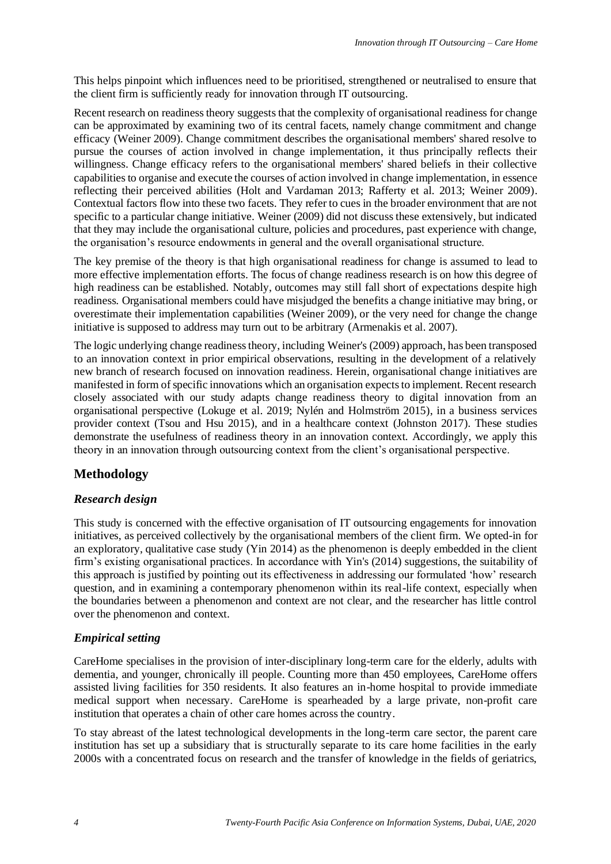This helps pinpoint which influences need to be prioritised, strengthened or neutralised to ensure that the client firm is sufficiently ready for innovation through IT outsourcing.

Recent research on readiness theory suggests that the complexity of organisational readiness for change can be approximated by examining two of its central facets, namely change commitment and change efficacy (Weiner 2009). Change commitment describes the organisational members' shared resolve to pursue the courses of action involved in change implementation, it thus principally reflects their willingness. Change efficacy refers to the organisational members' shared beliefs in their collective capabilities to organise and execute the courses of action involved in change implementation, in essence reflecting their perceived abilities (Holt and Vardaman 2013; Rafferty et al. 2013; Weiner 2009). Contextual factors flow into these two facets. They refer to cues in the broader environment that are not specific to a particular change initiative. Weiner (2009) did not discuss these extensively, but indicated that they may include the organisational culture, policies and procedures, past experience with change, the organisation's resource endowments in general and the overall organisational structure.

The key premise of the theory is that high organisational readiness for change is assumed to lead to more effective implementation efforts. The focus of change readiness research is on how this degree of high readiness can be established. Notably, outcomes may still fall short of expectations despite high readiness. Organisational members could have misjudged the benefits a change initiative may bring, or overestimate their implementation capabilities (Weiner 2009), or the very need for change the change initiative is supposed to address may turn out to be arbitrary (Armenakis et al. 2007).

The logic underlying change readiness theory, including Weiner's (2009) approach, has been transposed to an innovation context in prior empirical observations, resulting in the development of a relatively new branch of research focused on innovation readiness. Herein, organisational change initiatives are manifested in form of specific innovations which an organisation expects to implement. Recent research closely associated with our study adapts change readiness theory to digital innovation from an organisational perspective (Lokuge et al. 2019; Nylén and Holmström 2015), in a business services provider context (Tsou and Hsu 2015), and in a healthcare context (Johnston 2017). These studies demonstrate the usefulness of readiness theory in an innovation context. Accordingly, we apply this theory in an innovation through outsourcing context from the client's organisational perspective.

# **Methodology**

## *Research design*

This study is concerned with the effective organisation of IT outsourcing engagements for innovation initiatives, as perceived collectively by the organisational members of the client firm. We opted-in for an exploratory, qualitative case study (Yin 2014) as the phenomenon is deeply embedded in the client firm's existing organisational practices. In accordance with Yin's (2014) suggestions, the suitability of this approach is justified by pointing out its effectiveness in addressing our formulated 'how' research question, and in examining a contemporary phenomenon within its real-life context, especially when the boundaries between a phenomenon and context are not clear, and the researcher has little control over the phenomenon and context.

## *Empirical setting*

CareHome specialises in the provision of inter-disciplinary long-term care for the elderly, adults with dementia, and younger, chronically ill people. Counting more than 450 employees, CareHome offers assisted living facilities for 350 residents. It also features an in-home hospital to provide immediate medical support when necessary. CareHome is spearheaded by a large private, non-profit care institution that operates a chain of other care homes across the country.

To stay abreast of the latest technological developments in the long-term care sector, the parent care institution has set up a subsidiary that is structurally separate to its care home facilities in the early 2000s with a concentrated focus on research and the transfer of knowledge in the fields of geriatrics,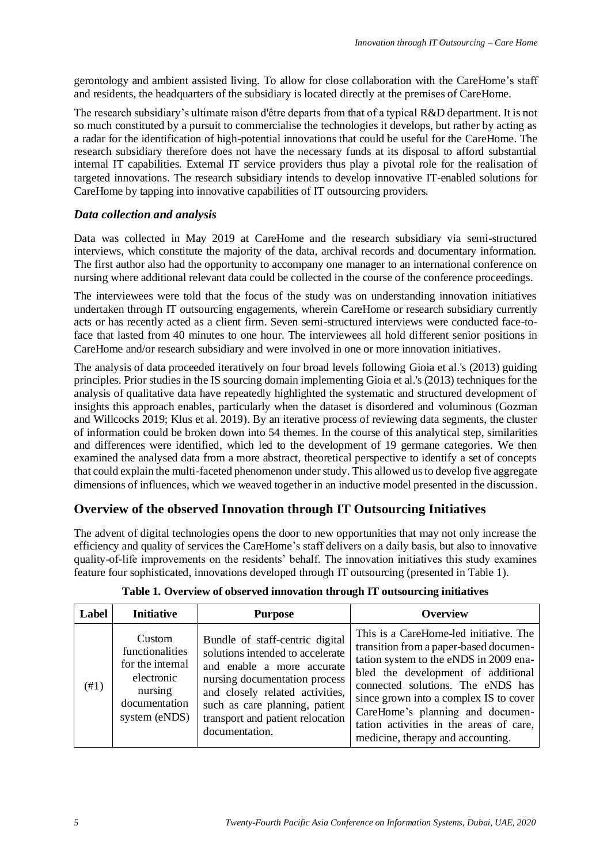gerontology and ambient assisted living. To allow for close collaboration with the CareHome's staff and residents, the headquarters of the subsidiary is located directly at the premises of CareHome.

The research subsidiary's ultimate raison d'être departs from that of a typical R&D department. It is not so much constituted by a pursuit to commercialise the technologies it develops, but rather by acting as a radar for the identification of high-potential innovations that could be useful for the CareHome. The research subsidiary therefore does not have the necessary funds at its disposal to afford substantial internal IT capabilities. External IT service providers thus play a pivotal role for the realisation of targeted innovations. The research subsidiary intends to develop innovative IT-enabled solutions for CareHome by tapping into innovative capabilities of IT outsourcing providers.

#### *Data collection and analysis*

Data was collected in May 2019 at CareHome and the research subsidiary via semi-structured interviews, which constitute the majority of the data, archival records and documentary information. The first author also had the opportunity to accompany one manager to an international conference on nursing where additional relevant data could be collected in the course of the conference proceedings.

The interviewees were told that the focus of the study was on understanding innovation initiatives undertaken through IT outsourcing engagements, wherein CareHome or research subsidiary currently acts or has recently acted as a client firm. Seven semi-structured interviews were conducted face-toface that lasted from 40 minutes to one hour. The interviewees all hold different senior positions in CareHome and/or research subsidiary and were involved in one or more innovation initiatives.

The analysis of data proceeded iteratively on four broad levels following Gioia et al.'s (2013) guiding principles. Prior studies in the IS sourcing domain implementing Gioia et al.'s (2013) techniques for the analysis of qualitative data have repeatedly highlighted the systematic and structured development of insights this approach enables, particularly when the dataset is disordered and voluminous (Gozman and Willcocks 2019; Klus et al. 2019). By an iterative process of reviewing data segments, the cluster of information could be broken down into 54 themes. In the course of this analytical step, similarities and differences were identified, which led to the development of 19 germane categories. We then examined the analysed data from a more abstract, theoretical perspective to identify a set of concepts that could explain the multi-faceted phenomenon under study. This allowed us to develop five aggregate dimensions of influences, which we weaved together in an inductive model presented in the discussion.

## **Overview of the observed Innovation through IT Outsourcing Initiatives**

The advent of digital technologies opens the door to new opportunities that may not only increase the efficiency and quality of services the CareHome's staff delivers on a daily basis, but also to innovative quality-of-life improvements on the residents' behalf. The innovation initiatives this study examines feature four sophisticated, innovations developed through IT outsourcing (presented in Table 1).

| Label | <b>Initiative</b>                                                                                        | <b>Purpose</b>                                                                                                                                                                                                                                                | <b>Overview</b>                                                                                                                                                                                                                                                                                                                                                     |
|-------|----------------------------------------------------------------------------------------------------------|---------------------------------------------------------------------------------------------------------------------------------------------------------------------------------------------------------------------------------------------------------------|---------------------------------------------------------------------------------------------------------------------------------------------------------------------------------------------------------------------------------------------------------------------------------------------------------------------------------------------------------------------|
| (#1)  | Custom<br>functionalities<br>for the internal<br>electronic<br>nursing<br>documentation<br>system (eNDS) | Bundle of staff-centric digital<br>solutions intended to accelerate<br>and enable a more accurate<br>nursing documentation process<br>and closely related activities,<br>such as care planning, patient<br>transport and patient relocation<br>documentation. | This is a CareHome-led initiative. The<br>transition from a paper-based documen-<br>tation system to the eNDS in 2009 ena-<br>bled the development of additional<br>connected solutions. The eNDS has<br>since grown into a complex IS to cover<br>CareHome's planning and documen-<br>tation activities in the areas of care,<br>medicine, therapy and accounting. |

|  |  |  |  | Table 1. Overview of observed innovation through IT outsourcing initiatives |
|--|--|--|--|-----------------------------------------------------------------------------|
|  |  |  |  |                                                                             |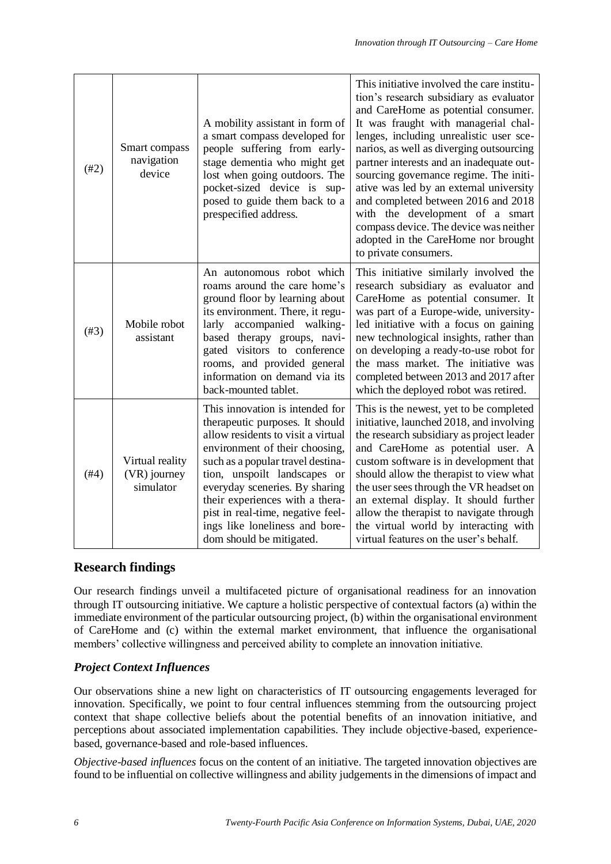| (#2) | Smart compass<br>navigation<br>device        | A mobility assistant in form of<br>a smart compass developed for<br>people suffering from early-<br>stage dementia who might get<br>lost when going outdoors. The<br>pocket-sized device is sup-<br>posed to guide them back to a<br>prespecified address.                                                                                                                              | This initiative involved the care institu-<br>tion's research subsidiary as evaluator<br>and CareHome as potential consumer.<br>It was fraught with managerial chal-<br>lenges, including unrealistic user sce-<br>narios, as well as diverging outsourcing<br>partner interests and an inadequate out-<br>sourcing governance regime. The initi-<br>ative was led by an external university<br>and completed between 2016 and 2018<br>with the development of a smart<br>compass device. The device was neither<br>adopted in the CareHome nor brought<br>to private consumers. |
|------|----------------------------------------------|-----------------------------------------------------------------------------------------------------------------------------------------------------------------------------------------------------------------------------------------------------------------------------------------------------------------------------------------------------------------------------------------|----------------------------------------------------------------------------------------------------------------------------------------------------------------------------------------------------------------------------------------------------------------------------------------------------------------------------------------------------------------------------------------------------------------------------------------------------------------------------------------------------------------------------------------------------------------------------------|
| (#3) | Mobile robot<br>assistant                    | An autonomous robot which<br>roams around the care home's<br>ground floor by learning about<br>its environment. There, it regu-<br>accompanied walking-<br>larly<br>based therapy groups, navi-<br>gated visitors to conference<br>rooms, and provided general<br>information on demand via its<br>back-mounted tablet.                                                                 | This initiative similarly involved the<br>research subsidiary as evaluator and<br>CareHome as potential consumer. It<br>was part of a Europe-wide, university-<br>led initiative with a focus on gaining<br>new technological insights, rather than<br>on developing a ready-to-use robot for<br>the mass market. The initiative was<br>completed between 2013 and 2017 after<br>which the deployed robot was retired.                                                                                                                                                           |
| (#4) | Virtual reality<br>(VR) journey<br>simulator | This innovation is intended for<br>therapeutic purposes. It should<br>allow residents to visit a virtual<br>environment of their choosing,<br>such as a popular travel destina-<br>tion, unspoilt landscapes or<br>everyday sceneries. By sharing<br>their experiences with a thera-<br>pist in real-time, negative feel-<br>ings like loneliness and bore-<br>dom should be mitigated. | This is the newest, yet to be completed<br>initiative, launched 2018, and involving<br>the research subsidiary as project leader<br>and CareHome as potential user. A<br>custom software is in development that<br>should allow the therapist to view what<br>the user sees through the VR headset on<br>an external display. It should further<br>allow the therapist to navigate through<br>the virtual world by interacting with<br>virtual features on the user's behalf.                                                                                                    |

## **Research findings**

Our research findings unveil a multifaceted picture of organisational readiness for an innovation through IT outsourcing initiative. We capture a holistic perspective of contextual factors (a) within the immediate environment of the particular outsourcing project, (b) within the organisational environment of CareHome and (c) within the external market environment, that influence the organisational members' collective willingness and perceived ability to complete an innovation initiative.

## *Project Context Influences*

Our observations shine a new light on characteristics of IT outsourcing engagements leveraged for innovation. Specifically, we point to four central influences stemming from the outsourcing project context that shape collective beliefs about the potential benefits of an innovation initiative, and perceptions about associated implementation capabilities. They include objective-based, experiencebased, governance-based and role-based influences.

*Objective-based influences* focus on the content of an initiative. The targeted innovation objectives are found to be influential on collective willingness and ability judgements in the dimensions of impact and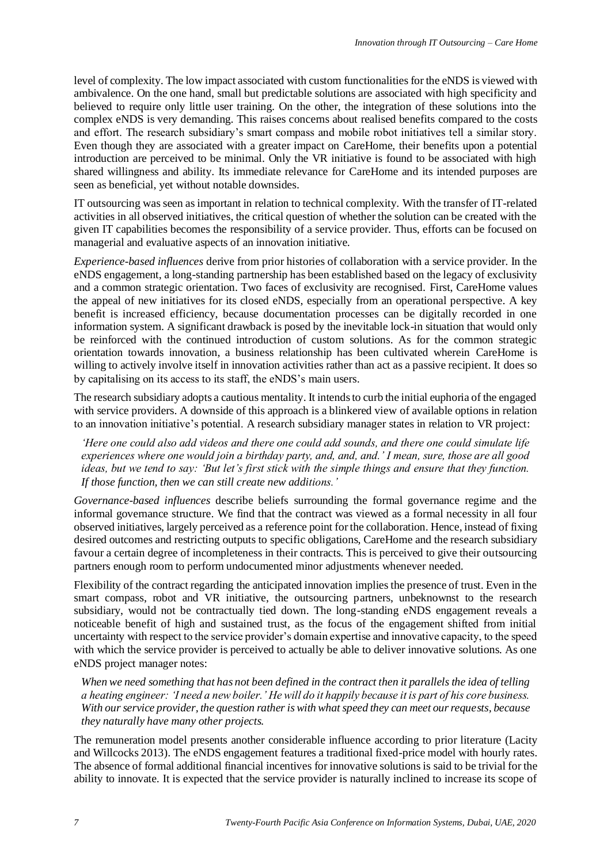level of complexity. The low impact associated with custom functionalities for the eNDS is viewed with ambivalence. On the one hand, small but predictable solutions are associated with high specificity and believed to require only little user training. On the other, the integration of these solutions into the complex eNDS is very demanding. This raises concerns about realised benefits compared to the costs and effort. The research subsidiary's smart compass and mobile robot initiatives tell a similar story. Even though they are associated with a greater impact on CareHome, their benefits upon a potential introduction are perceived to be minimal. Only the VR initiative is found to be associated with high shared willingness and ability. Its immediate relevance for CareHome and its intended purposes are seen as beneficial, yet without notable downsides.

IT outsourcing was seen as important in relation to technical complexity. With the transfer of IT-related activities in all observed initiatives, the critical question of whether the solution can be created with the given IT capabilities becomes the responsibility of a service provider. Thus, efforts can be focused on managerial and evaluative aspects of an innovation initiative.

*Experience-based influences* derive from prior histories of collaboration with a service provider. In the eNDS engagement, a long-standing partnership has been established based on the legacy of exclusivity and a common strategic orientation. Two faces of exclusivity are recognised. First, CareHome values the appeal of new initiatives for its closed eNDS, especially from an operational perspective. A key benefit is increased efficiency, because documentation processes can be digitally recorded in one information system. A significant drawback is posed by the inevitable lock-in situation that would only be reinforced with the continued introduction of custom solutions. As for the common strategic orientation towards innovation, a business relationship has been cultivated wherein CareHome is willing to actively involve itself in innovation activities rather than act as a passive recipient. It does so by capitalising on its access to its staff, the eNDS's main users.

The research subsidiary adopts a cautious mentality. It intends to curb the initial euphoria of the engaged with service providers. A downside of this approach is a blinkered view of available options in relation to an innovation initiative's potential. A research subsidiary manager states in relation to VR project:

*'Here one could also add videos and there one could add sounds, and there one could simulate life experiences where one would join a birthday party, and, and, and.' I mean, sure, those are all good ideas, but we tend to say: 'But let's first stick with the simple things and ensure that they function. If those function, then we can still create new additions.'*

*Governance-based influences* describe beliefs surrounding the formal governance regime and the informal governance structure. We find that the contract was viewed as a formal necessity in all four observed initiatives, largely perceived as a reference point for the collaboration. Hence, instead of fixing desired outcomes and restricting outputs to specific obligations, CareHome and the research subsidiary favour a certain degree of incompleteness in their contracts. This is perceived to give their outsourcing partners enough room to perform undocumented minor adjustments whenever needed.

Flexibility of the contract regarding the anticipated innovation implies the presence of trust. Even in the smart compass, robot and VR initiative, the outsourcing partners, unbeknownst to the research subsidiary, would not be contractually tied down. The long-standing eNDS engagement reveals a noticeable benefit of high and sustained trust, as the focus of the engagement shifted from initial uncertainty with respect to the service provider's domain expertise and innovative capacity, to the speed with which the service provider is perceived to actually be able to deliver innovative solutions. As one eNDS project manager notes:

*When we need something that has not been defined in the contract then it parallels the idea of telling a heating engineer: 'I need a new boiler.' He will do it happily because it is part of his core business. With our service provider, the question rather is with what speed they can meet our requests, because they naturally have many other projects.*

The remuneration model presents another considerable influence according to prior literature (Lacity and Willcocks 2013). The eNDS engagement features a traditional fixed-price model with hourly rates. The absence of formal additional financial incentives for innovative solutions is said to be trivial for the ability to innovate. It is expected that the service provider is naturally inclined to increase its scope of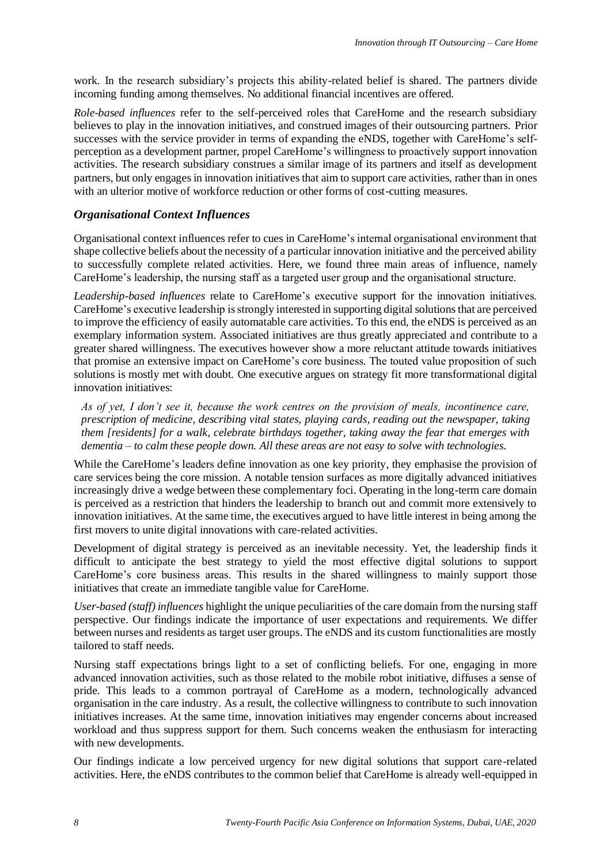work. In the research subsidiary's projects this ability-related belief is shared. The partners divide incoming funding among themselves. No additional financial incentives are offered.

*Role-based influences* refer to the self-perceived roles that CareHome and the research subsidiary believes to play in the innovation initiatives, and construed images of their outsourcing partners. Prior successes with the service provider in terms of expanding the eNDS, together with CareHome's selfperception as a development partner, propel CareHome's willingness to proactively support innovation activities. The research subsidiary construes a similar image of its partners and itself as development partners, but only engages in innovation initiatives that aim to support care activities, rather than in ones with an ulterior motive of workforce reduction or other forms of cost-cutting measures.

#### *Organisational Context Influences*

Organisational context influences refer to cues in CareHome's internal organisational environment that shape collective beliefs about the necessity of a particular innovation initiative and the perceived ability to successfully complete related activities. Here, we found three main areas of influence, namely CareHome's leadership, the nursing staff as a targeted user group and the organisational structure.

*Leadership-based influences* relate to CareHome's executive support for the innovation initiatives. CareHome's executive leadership is strongly interested in supporting digital solutions that are perceived to improve the efficiency of easily automatable care activities. To this end, the eNDS is perceived as an exemplary information system. Associated initiatives are thus greatly appreciated and contribute to a greater shared willingness. The executives however show a more reluctant attitude towards initiatives that promise an extensive impact on CareHome's core business. The touted value proposition of such solutions is mostly met with doubt. One executive argues on strategy fit more transformational digital innovation initiatives:

*As of yet, I don't see it, because the work centres on the provision of meals, incontinence care, prescription of medicine, describing vital states, playing cards, reading out the newspaper, taking them [residents] for a walk, celebrate birthdays together, taking away the fear that emerges with dementia – to calm these people down. All these areas are not easy to solve with technologies.*

While the CareHome's leaders define innovation as one key priority, they emphasise the provision of care services being the core mission. A notable tension surfaces as more digitally advanced initiatives increasingly drive a wedge between these complementary foci. Operating in the long-term care domain is perceived as a restriction that hinders the leadership to branch out and commit more extensively to innovation initiatives. At the same time, the executives argued to have little interest in being among the first movers to unite digital innovations with care-related activities.

Development of digital strategy is perceived as an inevitable necessity. Yet, the leadership finds it difficult to anticipate the best strategy to yield the most effective digital solutions to support CareHome's core business areas. This results in the shared willingness to mainly support those initiatives that create an immediate tangible value for CareHome.

*User-based (staff) influences* highlight the unique peculiarities of the care domain from the nursing staff perspective. Our findings indicate the importance of user expectations and requirements. We differ between nurses and residents as target user groups. The eNDS and its custom functionalities are mostly tailored to staff needs.

Nursing staff expectations brings light to a set of conflicting beliefs. For one, engaging in more advanced innovation activities, such as those related to the mobile robot initiative, diffuses a sense of pride. This leads to a common portrayal of CareHome as a modern, technologically advanced organisation in the care industry. As a result, the collective willingness to contribute to such innovation initiatives increases. At the same time, innovation initiatives may engender concerns about increased workload and thus suppress support for them. Such concerns weaken the enthusiasm for interacting with new developments.

Our findings indicate a low perceived urgency for new digital solutions that support care-related activities. Here, the eNDS contributes to the common belief that CareHome is already well-equipped in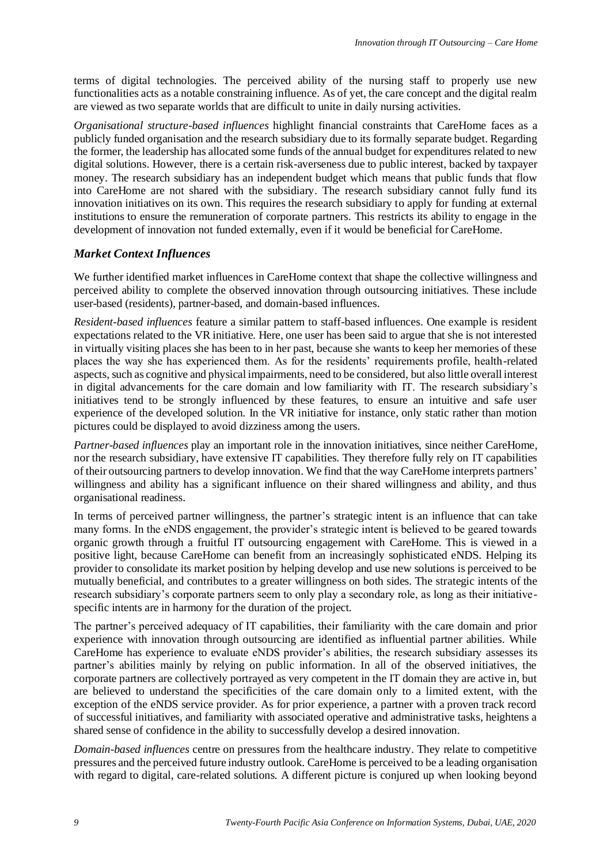terms of digital technologies. The perceived ability of the nursing staff to properly use new functionalities acts as a notable constraining influence. As of yet, the care concept and the digital realm are viewed as two separate worlds that are difficult to unite in daily nursing activities.

*Organisational structure-based influences* highlight financial constraints that CareHome faces as a publicly funded organisation and the research subsidiary due to its formally separate budget. Regarding the former, the leadership has allocated some funds of the annual budget for expenditures related to new digital solutions. However, there is a certain risk-averseness due to public interest, backed by taxpayer money. The research subsidiary has an independent budget which means that public funds that flow into CareHome are not shared with the subsidiary. The research subsidiary cannot fully fund its innovation initiatives on its own. This requires the research subsidiary to apply for funding at external institutions to ensure the remuneration of corporate partners. This restricts its ability to engage in the development of innovation not funded externally, even if it would be beneficial for CareHome.

#### *Market Context Influences*

We further identified market influences in CareHome context that shape the collective willingness and perceived ability to complete the observed innovation through outsourcing initiatives. These include user-based (residents), partner-based, and domain-based influences.

*Resident-based influences* feature a similar pattern to staff-based influences. One example is resident expectations related to the VR initiative. Here, one user has been said to argue that she is not interested in virtually visiting places she has been to in her past, because she wants to keep her memories of these places the way she has experienced them. As for the residents' requirements profile, health-related aspects, such as cognitive and physical impairments, need to be considered, but also little overall interest in digital advancements for the care domain and low familiarity with IT. The research subsidiary's initiatives tend to be strongly influenced by these features, to ensure an intuitive and safe user experience of the developed solution. In the VR initiative for instance, only static rather than motion pictures could be displayed to avoid dizziness among the users.

*Partner-based influences* play an important role in the innovation initiatives, since neither CareHome, nor the research subsidiary, have extensive IT capabilities. They therefore fully rely on IT capabilities of their outsourcing partners to develop innovation. We find that the way CareHome interprets partners' willingness and ability has a significant influence on their shared willingness and ability, and thus organisational readiness.

In terms of perceived partner willingness, the partner's strategic intent is an influence that can take many forms. In the eNDS engagement, the provider's strategic intent is believed to be geared towards organic growth through a fruitful IT outsourcing engagement with CareHome. This is viewed in a positive light, because CareHome can benefit from an increasingly sophisticated eNDS. Helping its provider to consolidate its market position by helping develop and use new solutions is perceived to be mutually beneficial, and contributes to a greater willingness on both sides. The strategic intents of the research subsidiary's corporate partners seem to only play a secondary role, as long as their initiativespecific intents are in harmony for the duration of the project.

The partner's perceived adequacy of IT capabilities, their familiarity with the care domain and prior experience with innovation through outsourcing are identified as influential partner abilities. While CareHome has experience to evaluate eNDS provider's abilities, the research subsidiary assesses its partner's abilities mainly by relying on public information. In all of the observed initiatives, the corporate partners are collectively portrayed as very competent in the IT domain they are active in, but are believed to understand the specificities of the care domain only to a limited extent, with the exception of the eNDS service provider. As for prior experience, a partner with a proven track record of successful initiatives, and familiarity with associated operative and administrative tasks, heightens a shared sense of confidence in the ability to successfully develop a desired innovation.

*Domain-based influences* centre on pressures from the healthcare industry. They relate to competitive pressures and the perceived future industry outlook. CareHome is perceived to be a leading organisation with regard to digital, care-related solutions. A different picture is conjured up when looking beyond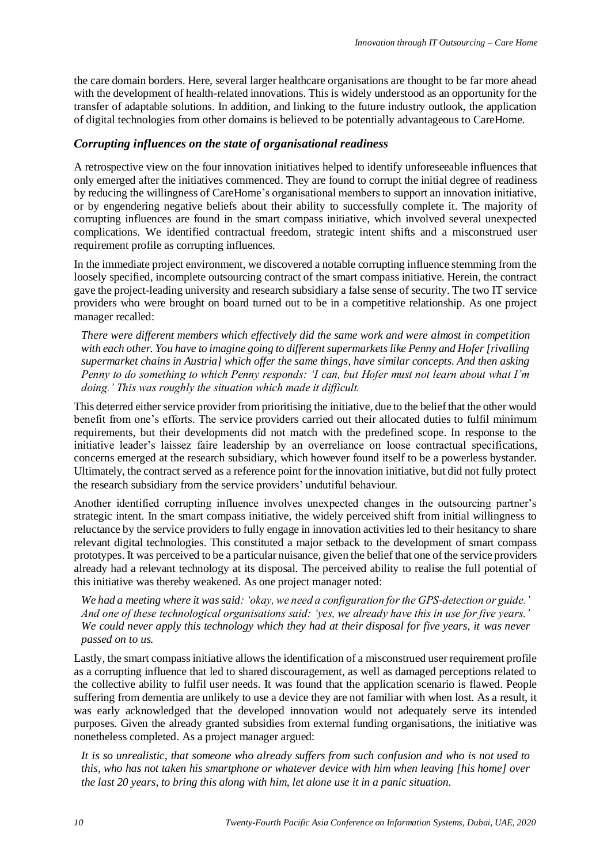the care domain borders. Here, several larger healthcare organisations are thought to be far more ahead with the development of health-related innovations. This is widely understood as an opportunity for the transfer of adaptable solutions. In addition, and linking to the future industry outlook, the application of digital technologies from other domains is believed to be potentially advantageous to CareHome.

#### *Corrupting influences on the state of organisational readiness*

A retrospective view on the four innovation initiatives helped to identify unforeseeable influences that only emerged after the initiatives commenced. They are found to corrupt the initial degree of readiness by reducing the willingness of CareHome's organisational members to support an innovation initiative, or by engendering negative beliefs about their ability to successfully complete it. The majority of corrupting influences are found in the smart compass initiative, which involved several unexpected complications. We identified contractual freedom, strategic intent shifts and a misconstrued user requirement profile as corrupting influences.

In the immediate project environment, we discovered a notable corrupting influence stemming from the loosely specified, incomplete outsourcing contract of the smart compass initiative. Herein, the contract gave the project-leading university and research subsidiary a false sense of security. The two IT service providers who were brought on board turned out to be in a competitive relationship. As one project manager recalled:

*There were different members which effectively did the same work and were almost in competition with each other. You have to imagine going to different supermarkets like Penny and Hofer [rivalling supermarket chains in Austria] which offer the same things, have similar concepts. And then asking Penny to do something to which Penny responds: 'I can, but Hofer must not learn about what I'm doing.' This was roughly the situation which made it difficult.*

This deterred either service provider from prioritising the initiative, due to the belief that the other would benefit from one's efforts. The service providers carried out their allocated duties to fulfil minimum requirements, but their developments did not match with the predefined scope. In response to the initiative leader's laissez faire leadership by an overreliance on loose contractual specifications, concerns emerged at the research subsidiary, which however found itself to be a powerless bystander. Ultimately, the contract served as a reference point for the innovation initiative, but did not fully protect the research subsidiary from the service providers' undutiful behaviour.

Another identified corrupting influence involves unexpected changes in the outsourcing partner's strategic intent. In the smart compass initiative, the widely perceived shift from initial willingness to reluctance by the service providers to fully engage in innovation activities led to their hesitancy to share relevant digital technologies. This constituted a major setback to the development of smart compass prototypes. It was perceived to be a particular nuisance, given the belief that one of the service providers already had a relevant technology at its disposal. The perceived ability to realise the full potential of this initiative was thereby weakened. As one project manager noted:

*We had a meeting where it was said: 'okay, we need a configuration for the GPS-detection or guide.' And one of these technological organisations said: 'yes, we already have this in use for five years.' We could never apply this technology which they had at their disposal for five years, it was never passed on to us.* 

Lastly, the smart compass initiative allows the identification of a misconstrued user requirement profile as a corrupting influence that led to shared discouragement, as well as damaged perceptions related to the collective ability to fulfil user needs. It was found that the application scenario is flawed. People suffering from dementia are unlikely to use a device they are not familiar with when lost. As a result, it was early acknowledged that the developed innovation would not adequately serve its intended purposes. Given the already granted subsidies from external funding organisations, the initiative was nonetheless completed. As a project manager argued:

*It is so unrealistic, that someone who already suffers from such confusion and who is not used to this, who has not taken his smartphone or whatever device with him when leaving [his home] over the last 20 years, to bring this along with him, let alone use it in a panic situation.*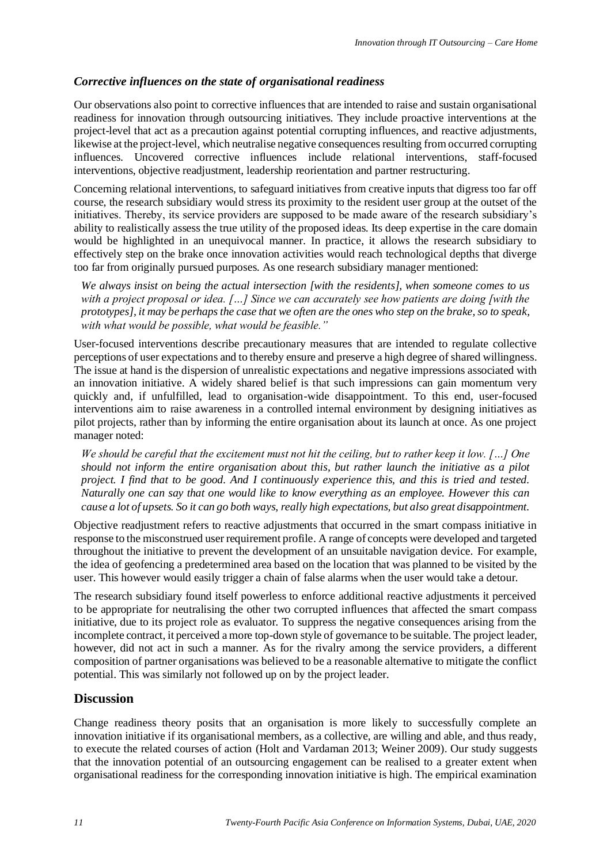## *Corrective influences on the state of organisational readiness*

Our observations also point to corrective influences that are intended to raise and sustain organisational readiness for innovation through outsourcing initiatives. They include proactive interventions at the project-level that act as a precaution against potential corrupting influences, and reactive adjustments, likewise at the project-level, which neutralise negative consequences resulting from occurred corrupting influences. Uncovered corrective influences include relational interventions, staff-focused interventions, objective readjustment, leadership reorientation and partner restructuring.

Concerning relational interventions, to safeguard initiatives from creative inputs that digress too far off course, the research subsidiary would stress its proximity to the resident user group at the outset of the initiatives. Thereby, its service providers are supposed to be made aware of the research subsidiary's ability to realistically assess the true utility of the proposed ideas. Its deep expertise in the care domain would be highlighted in an unequivocal manner. In practice, it allows the research subsidiary to effectively step on the brake once innovation activities would reach technological depths that diverge too far from originally pursued purposes. As one research subsidiary manager mentioned:

*We always insist on being the actual intersection [with the residents], when someone comes to us with a project proposal or idea. […] Since we can accurately see how patients are doing [with the prototypes], it may be perhaps the case that we often are the ones who step on the brake, so to speak, with what would be possible, what would be feasible."*

User-focused interventions describe precautionary measures that are intended to regulate collective perceptions of user expectations and to thereby ensure and preserve a high degree of shared willingness. The issue at hand is the dispersion of unrealistic expectations and negative impressions associated with an innovation initiative. A widely shared belief is that such impressions can gain momentum very quickly and, if unfulfilled, lead to organisation-wide disappointment. To this end, user-focused interventions aim to raise awareness in a controlled internal environment by designing initiatives as pilot projects, rather than by informing the entire organisation about its launch at once. As one project manager noted:

*We should be careful that the excitement must not hit the ceiling, but to rather keep it low. […] One should not inform the entire organisation about this, but rather launch the initiative as a pilot project. I find that to be good. And I continuously experience this, and this is tried and tested. Naturally one can say that one would like to know everything as an employee. However this can cause a lot of upsets. So it can go both ways, really high expectations, but also great disappointment.*

Objective readjustment refers to reactive adjustments that occurred in the smart compass initiative in response to the misconstrued user requirement profile. A range of concepts were developed and targeted throughout the initiative to prevent the development of an unsuitable navigation device. For example, the idea of geofencing a predetermined area based on the location that was planned to be visited by the user. This however would easily trigger a chain of false alarms when the user would take a detour.

The research subsidiary found itself powerless to enforce additional reactive adjustments it perceived to be appropriate for neutralising the other two corrupted influences that affected the smart compass initiative, due to its project role as evaluator. To suppress the negative consequences arising from the incomplete contract, it perceived a more top-down style of governance to be suitable. The project leader, however, did not act in such a manner. As for the rivalry among the service providers, a different composition of partner organisations was believed to be a reasonable alternative to mitigate the conflict potential. This was similarly not followed up on by the project leader.

## **Discussion**

Change readiness theory posits that an organisation is more likely to successfully complete an innovation initiative if its organisational members, as a collective, are willing and able, and thus ready, to execute the related courses of action (Holt and Vardaman 2013; Weiner 2009). Our study suggests that the innovation potential of an outsourcing engagement can be realised to a greater extent when organisational readiness for the corresponding innovation initiative is high. The empirical examination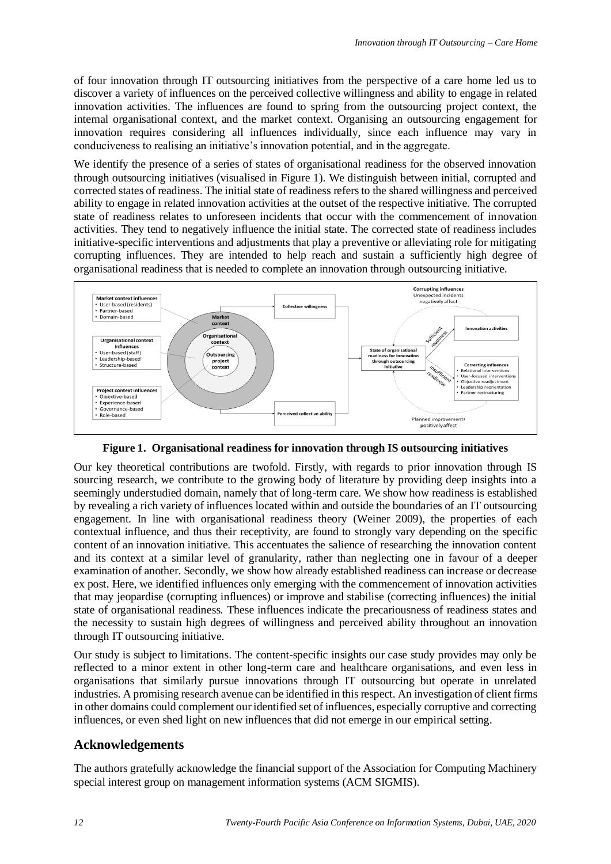of four innovation through IT outsourcing initiatives from the perspective of a care home led us to discover a variety of influences on the perceived collective willingness and ability to engage in related innovation activities. The influences are found to spring from the outsourcing project context, the internal organisational context, and the market context. Organising an outsourcing engagement for innovation requires considering all influences individually, since each influence may vary in conduciveness to realising an initiative's innovation potential, and in the aggregate.

We identify the presence of a series of states of organisational readiness for the observed innovation through outsourcing initiatives (visualised in Figure 1). We distinguish between initial, corrupted and corrected states of readiness. The initial state of readiness refers to the shared willingness and perceived ability to engage in related innovation activities at the outset of the respective initiative. The corrupted state of readiness relates to unforeseen incidents that occur with the commencement of innovation activities. They tend to negatively influence the initial state. The corrected state of readiness includes initiative-specific interventions and adjustments that play a preventive or alleviating role for mitigating corrupting influences. They are intended to help reach and sustain a sufficiently high degree of organisational readiness that is needed to complete an innovation through outsourcing initiative.



**Figure 1. Organisational readiness for innovation through IS outsourcing initiatives**

Our key theoretical contributions are twofold. Firstly, with regards to prior innovation through IS sourcing research, we contribute to the growing body of literature by providing deep insights into a seemingly understudied domain, namely that of long-term care. We show how readiness is established by revealing a rich variety of influences located within and outside the boundaries of an IT outsourcing engagement. In line with organisational readiness theory (Weiner 2009), the properties of each contextual influence, and thus their receptivity, are found to strongly vary depending on the specific content of an innovation initiative. This accentuates the salience of researching the innovation content and its context at a similar level of granularity, rather than neglecting one in favour of a deeper examination of another. Secondly, we show how already established readiness can increase or decrease ex post. Here, we identified influences only emerging with the commencement of innovation activities that may jeopardise (corrupting influences) or improve and stabilise (correcting influences) the initial state of organisational readiness. These influences indicate the precariousness of readiness states and the necessity to sustain high degrees of willingness and perceived ability throughout an innovation through IT outsourcing initiative.

Our study is subject to limitations. The content-specific insights our case study provides may only be reflected to a minor extent in other long-term care and healthcare organisations, and even less in organisations that similarly pursue innovations through IT outsourcing but operate in unrelated industries. A promising research avenue can be identified in this respect. An investigation of client firms in other domains could complement our identified set of influences, especially corruptive and correcting influences, or even shed light on new influences that did not emerge in our empirical setting.

# **Acknowledgements**

The authors gratefully acknowledge the financial support of the Association for Computing Machinery special interest group on management information systems (ACM SIGMIS).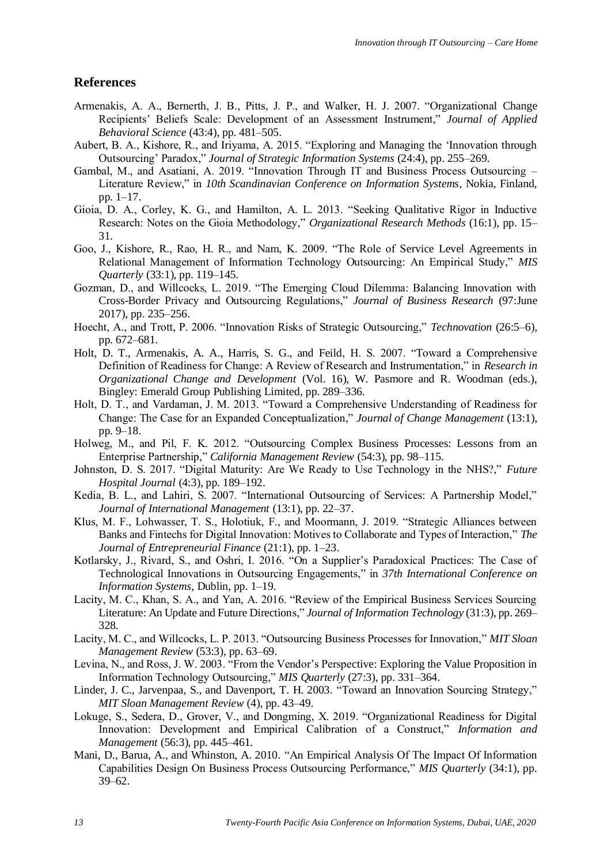#### **References**

- Armenakis, A. A., Bernerth, J. B., Pitts, J. P., and Walker, H. J. 2007. "Organizational Change Recipients' Beliefs Scale: Development of an Assessment Instrument," *Journal of Applied Behavioral Science* (43:4), pp. 481–505.
- Aubert, B. A., Kishore, R., and Iriyama, A. 2015. "Exploring and Managing the 'Innovation through Outsourcing' Paradox," *Journal of Strategic Information Systems* (24:4), pp. 255–269.
- Gambal, M., and Asatiani, A. 2019. "Innovation Through IT and Business Process Outsourcing Literature Review," in *10th Scandinavian Conference on Information Systems*, Nokia, Finland, pp. 1–17.
- Gioia, D. A., Corley, K. G., and Hamilton, A. L. 2013. "Seeking Qualitative Rigor in Inductive Research: Notes on the Gioia Methodology," *Organizational Research Methods* (16:1), pp. 15– 31.
- Goo, J., Kishore, R., Rao, H. R., and Nam, K. 2009. "The Role of Service Level Agreements in Relational Management of Information Technology Outsourcing: An Empirical Study," *MIS Quarterly* (33:1), pp. 119–145.
- Gozman, D., and Willcocks, L. 2019. "The Emerging Cloud Dilemma: Balancing Innovation with Cross-Border Privacy and Outsourcing Regulations," *Journal of Business Research* (97:June 2017), pp. 235–256.
- Hoecht, A., and Trott, P. 2006. "Innovation Risks of Strategic Outsourcing," *Technovation* (26:5–6), pp. 672–681.
- Holt, D. T., Armenakis, A. A., Harris, S. G., and Feild, H. S. 2007. "Toward a Comprehensive Definition of Readiness for Change: A Review of Research and Instrumentation," in *Research in Organizational Change and Development* (Vol. 16), W. Pasmore and R. Woodman (eds.), Bingley: Emerald Group Publishing Limited, pp. 289–336.
- Holt, D. T., and Vardaman, J. M. 2013. "Toward a Comprehensive Understanding of Readiness for Change: The Case for an Expanded Conceptualization," *Journal of Change Management* (13:1), pp. 9–18.
- Holweg, M., and Pil, F. K. 2012. "Outsourcing Complex Business Processes: Lessons from an Enterprise Partnership," *California Management Review* (54:3), pp. 98–115.
- Johnston, D. S. 2017. "Digital Maturity: Are We Ready to Use Technology in the NHS?," *Future Hospital Journal* (4:3), pp. 189–192.
- Kedia, B. L., and Lahiri, S. 2007. "International Outsourcing of Services: A Partnership Model," *Journal of International Management* (13:1), pp. 22–37.
- Klus, M. F., Lohwasser, T. S., Holotiuk, F., and Moormann, J. 2019. "Strategic Alliances between Banks and Fintechs for Digital Innovation: Motives to Collaborate and Types of Interaction," *The Journal of Entrepreneurial Finance* (21:1), pp. 1–23.
- Kotlarsky, J., Rivard, S., and Oshri, I. 2016. "On a Supplier's Paradoxical Practices: The Case of Technological Innovations in Outsourcing Engagements," in *37th International Conference on Information Systems*, Dublin, pp. 1–19.
- Lacity, M. C., Khan, S. A., and Yan, A. 2016. "Review of the Empirical Business Services Sourcing Literature: An Update and Future Directions," *Journal of Information Technology* (31:3), pp. 269– 328.
- Lacity, M. C., and Willcocks, L. P. 2013. "Outsourcing Business Processes for Innovation," *MIT Sloan Management Review* (53:3), pp. 63–69.
- Levina, N., and Ross, J. W. 2003. "From the Vendor's Perspective: Exploring the Value Proposition in Information Technology Outsourcing," *MIS Quarterly* (27:3), pp. 331–364.
- Linder, J. C., Jarvenpaa, S., and Davenport, T. H. 2003. "Toward an Innovation Sourcing Strategy," *MIT Sloan Management Review* (4), pp. 43–49.
- Lokuge, S., Sedera, D., Grover, V., and Dongming, X. 2019. "Organizational Readiness for Digital Innovation: Development and Empirical Calibration of a Construct," *Information and Management* (56:3), pp. 445–461.
- Mani, D., Barua, A., and Whinston, A. 2010. "An Empirical Analysis Of The Impact Of Information Capabilities Design On Business Process Outsourcing Performance," *MIS Quarterly* (34:1), pp. 39–62.